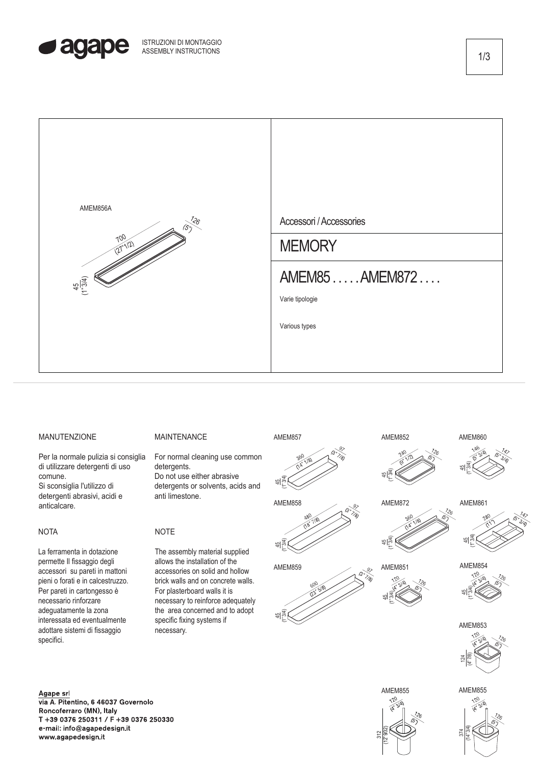



## MANUTENZIONE

Per la normale pulizia si consiglia di utilizzare detergenti di uso comune. Si sconsiglia l'utilizzo di detergenti abrasivi, acidi e

### **NOTA**

anticalcare.

La ferramenta in dotazione permette Il fissaggio degli accessori su pareti in mattoni pieni o forati e in calcestruzzo. Per pareti in cartongesso è necessario rinforzare adeguatamente la zona interessata ed eventualmente adottare sistemi di fissaggio specifici.

### Agape srl

via A. Pitentino, 6 46037 Governolo Roncoferraro (MN), Italy T +39 0376 250311 / F +39 0376 250330 e-mail: info@agapedesign.it www.agapedesign.it

#### MAINTENANCE

For normal cleaning use common detergents. Do not use either abrasive detergents or solvents, acids and anti limestone.

# **NOTE**

The assembly material supplied allows the installation of the accessories on solid and hollow brick walls and on concrete walls. For plasterboard walls it is necessary to reinforce adequately the area concerned and to adopt specific fixing systems if necessary.



AMEM857





AMEM852 (1" 3/4)

AMEM851

AMEM872

45

45 (1" 3/4)

45 (1" 3/4)



AMEM861



AMEM854





AMEM855

 $\frac{374}{(14°34)}$ 

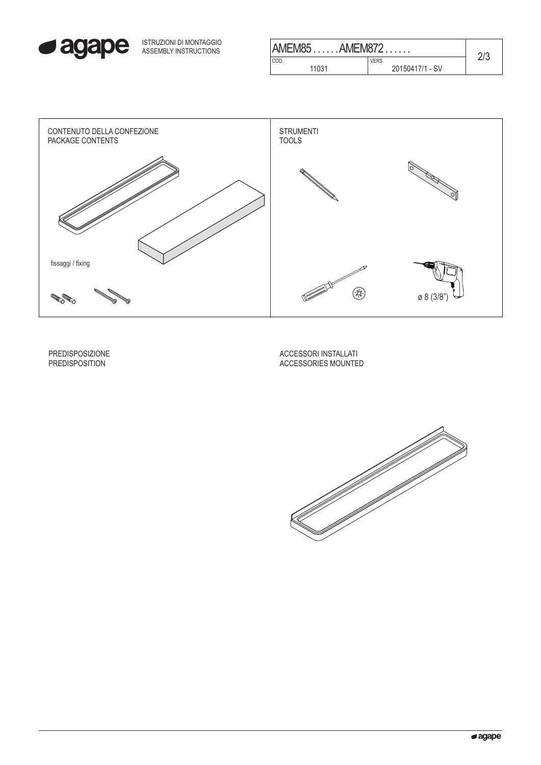

| ISTRUZIONI DI MONTAGGIO<br>ASSEMBLY INSTRUCTIONS | AMEM85AMEM872 |                 |     |
|--------------------------------------------------|---------------|-----------------|-----|
|                                                  | COD.          | VERS.           | ∠⊦ບ |
|                                                  | 1031          | 20150417/1 - SV |     |
|                                                  |               |                 |     |



PREDISPOSIZIONE PREDISPOSITION

ACCESSORI INSTALLATI ACCESSORIES MOUNTED